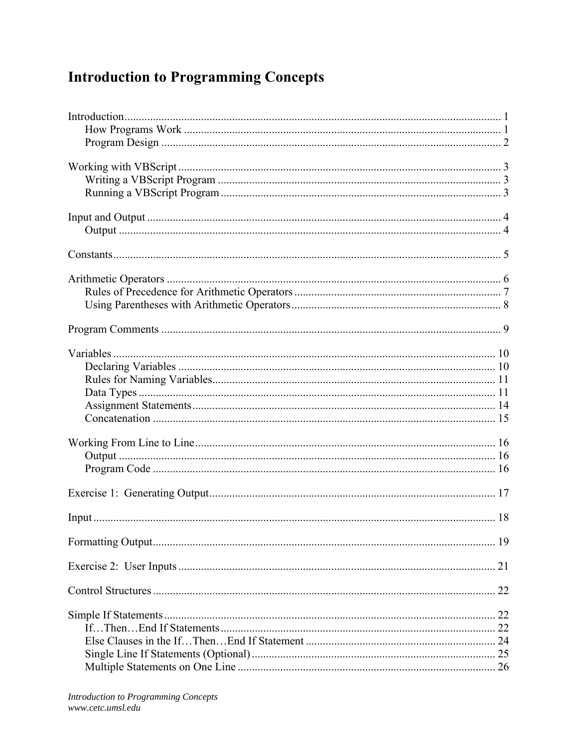## **Introduction to Programming Concepts**